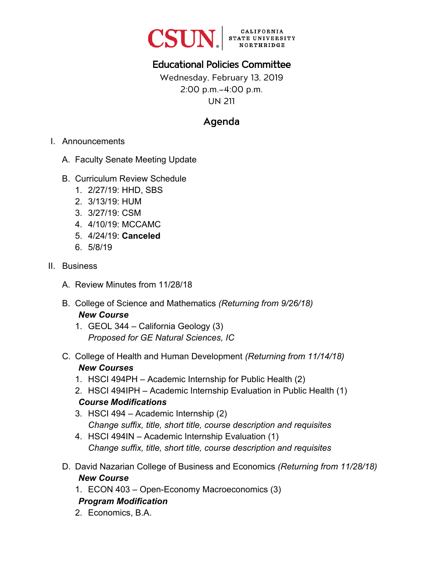

## Educational Policies Committee

Wednesday, February 13, 2019 2:00 p.m.–4:00 p.m. UN 211

### Agenda

- I. Announcements
	- A. Faculty Senate Meeting Update
	- B. Curriculum Review Schedule
		- 1. 2/27/19: HHD, SBS
		- 2. 3/13/19: HUM
		- 3. 3/27/19: CSM
		- 4. 4/10/19: MCCAMC
		- 5. 4/24/19: **Canceled**
		- 6. 5/8/19
- II. Business
	- A. Review Minutes from 11/28/18
	- B. College of Science and Mathematics *(Returning from 9/26/18) New Course*
		- 1. GEOL 344 California Geology (3) *Proposed for GE Natural Sciences, IC*
	- C. College of Health and Human Development *(Returning from 11/14/18) New Courses*
		- 1. HSCI 494PH Academic Internship for Public Health (2)
		- 2. HSCI 494IPH Academic Internship Evaluation in Public Health (1) *Course Modifications*
		- 3. HSCI 494 Academic Internship (2) *Change suffix, title, short title, course description and requisites*
		- 4. HSCI 494IN Academic Internship Evaluation (1) *Change suffix, title, short title, course description and requisites*
	- D. David Nazarian College of Business and Economics *(Returning from 11/28/18) New Course*
		- 1. ECON 403 Open-Economy Macroeconomics (3)

### *Program Modification*

2. Economics, B.A.